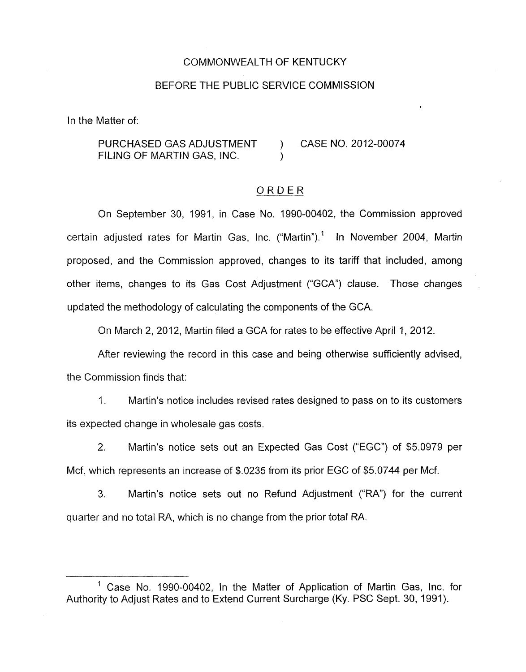# COMMONWEALTH OF KENTUCKY

### BEFORE THE PUBLIC SERVICE COMMISSION

In the Matter of:

PURCHASED GAS ADJUSTMENT ) CASE NO. 2012-00074 FILING OF MARTIN GAS, INC.

#### ORDER

On September 30, 1991, in Case No. 1990-00402, the Commission approved certain adjusted rates for Martin Gas, Inc. ("Martin").' In November 2004, Martin proposed, and the Commission approved, changes to its tariff that included, among other items, changes to its Gas Cost Adjustment ("GCA") clause. Those changes updated the methodology of calculating the components of the GCA.

On March 2, 2012, Martin filed a GCA for rates to be effective April 1, 2012.

After reviewing the record in this case and being otherwise sufficiently advised, the Commission finds that:

1. Martin's notice includes revised rates designed to pass on to its customers its expected change in wholesale gas costs.

2. Martin's notice sets out an Expected Gas Cost ("EGC") of \$5.0979 per Mcf, which represents an increase of \$.0235 from its prior EGC of \$5.0744 per Mcf.

**3.** Martin's notice sets out no Refund Adjustment ("RA') for the current quarter and no total RA, which is no change from the prior total RA.

<sup>&</sup>lt;sup>1</sup> Case No. 1990-00402, In the Matter of Application of Martin Gas, Inc. for Authority to Adjust Rates and to Extend Current Surcharge (Ky. PSC Sept. 30, 1991).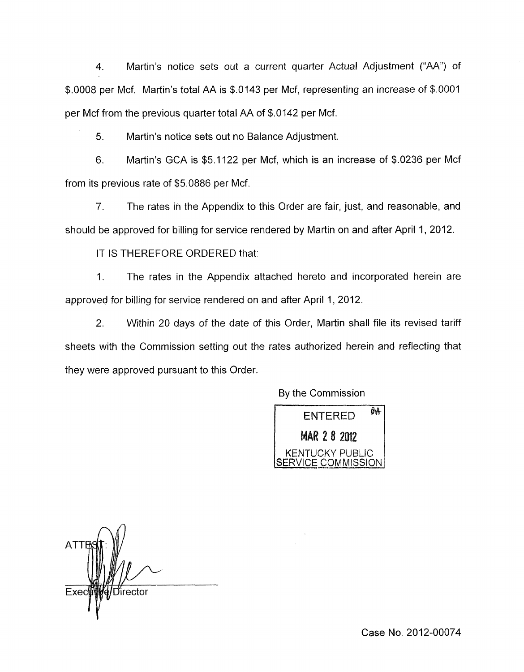4. Martin's notice sets out a current quarter Actual Adjustment ("AA") of \$.0008 per Mcf. Martin's total AA is \$.0143 per Mcf, representing an increase of \$.0001 per Mcf from the previous quarter total AA of \$.0142 per Mcf.

Martin's notice sets out no Balance Adjustment. 5.

Martin's GCA is \$5.1122 per Mcf, which is an increase of \$.0236 per Mcf 6. from its previous rate of \$5.0886 per Mcf.

7. The rates in the Appendix to this Order are fair, just, and reasonable, and should be approved for billing for service rendered by Martin on and after April 1, 2012.

IT IS THEREFORE ORDERED that:

1. The rates in the Appendix attached hereto and incorporated herein are approved for billing for service rendered on and after April 1, 2012.

2. Within 20 days of the date of this Order, Martin shall file its revised tariff sheets with the Commission setting out the rates authorized herein and reflecting that they were approved pursuant to this Order.

By the Commission



irector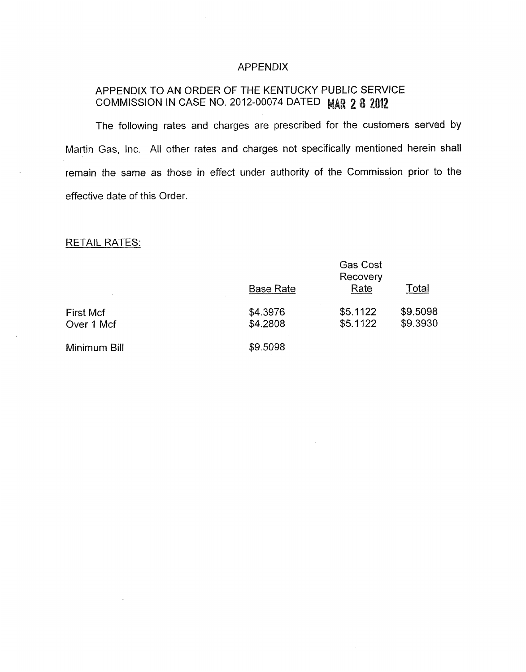# APPENDIX

# APPENDIX TO AN ORDER OF THE KENTUCKY PUBLIC SERVICE COMMISSION IN CASE NO. 2012-00074 DATED MAR 2 8 2012

The following rates and charges are prescribed for the customers served by Martin Gas, Inc. All other rates and charges not specifically mentioned herein shall remain the same as those in effect under authority of the Commission prior to the effective date of this Order.

# **RETAIL RATES:**

|              | <b>Base Rate</b> | <b>Gas Cost</b><br>Recovery<br>Rate | Total    |
|--------------|------------------|-------------------------------------|----------|
| First Mcf    | \$4.3976         | \$5.1122                            | \$9.5098 |
| Over 1 Mcf   | \$4.2808         | \$5.1122                            | \$9.3930 |
| Minimum Bill | \$9.5098         |                                     |          |